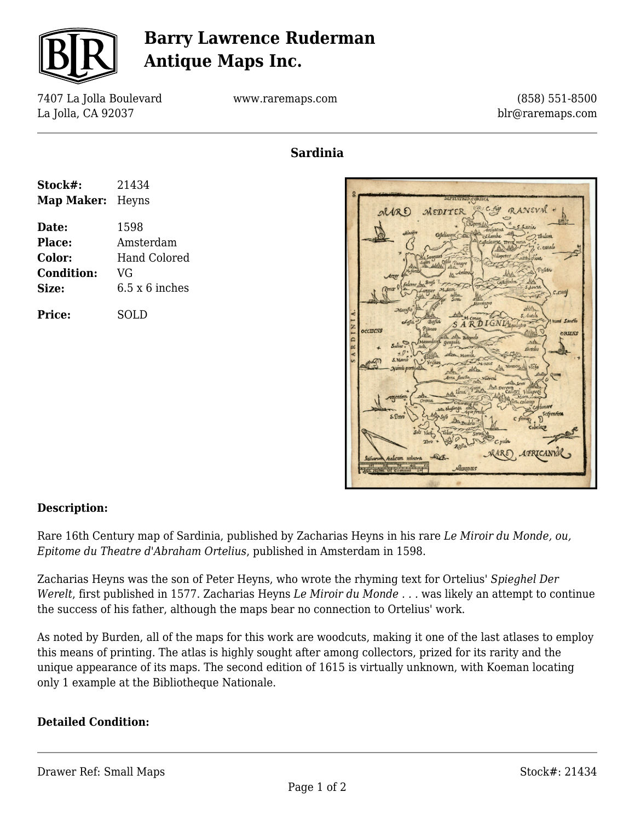

## **Barry Lawrence Ruderman Antique Maps Inc.**

7407 La Jolla Boulevard La Jolla, CA 92037

www.raremaps.com

(858) 551-8500 blr@raremaps.com

**Sardinia**

| Stock#:                 | 21434                 |
|-------------------------|-----------------------|
| <b>Map Maker:</b> Heyns |                       |
| Date:                   | 1598                  |
| Place:                  | Amsterdam             |
| <b>Color:</b>           | <b>Hand Colored</b>   |
| <b>Condition:</b>       | VG                    |
| Size:                   | $6.5 \times 6$ inches |
| Price:                  | SOLD                  |



### **Description:**

Rare 16th Century map of Sardinia, published by Zacharias Heyns in his rare *Le Miroir du Monde, ou, Epitome du Theatre d'Abraham Ortelius*, published in Amsterdam in 1598.

Zacharias Heyns was the son of Peter Heyns, who wrote the rhyming text for Ortelius' *Spieghel Der Werelt*, first published in 1577. Zacharias Heyns *Le Miroir du Monde . . .* was likely an attempt to continue the success of his father, although the maps bear no connection to Ortelius' work.

As noted by Burden, all of the maps for this work are woodcuts, making it one of the last atlases to employ this means of printing. The atlas is highly sought after among collectors, prized for its rarity and the unique appearance of its maps. The second edition of 1615 is virtually unknown, with Koeman locating only 1 example at the Bibliotheque Nationale.

#### **Detailed Condition:**